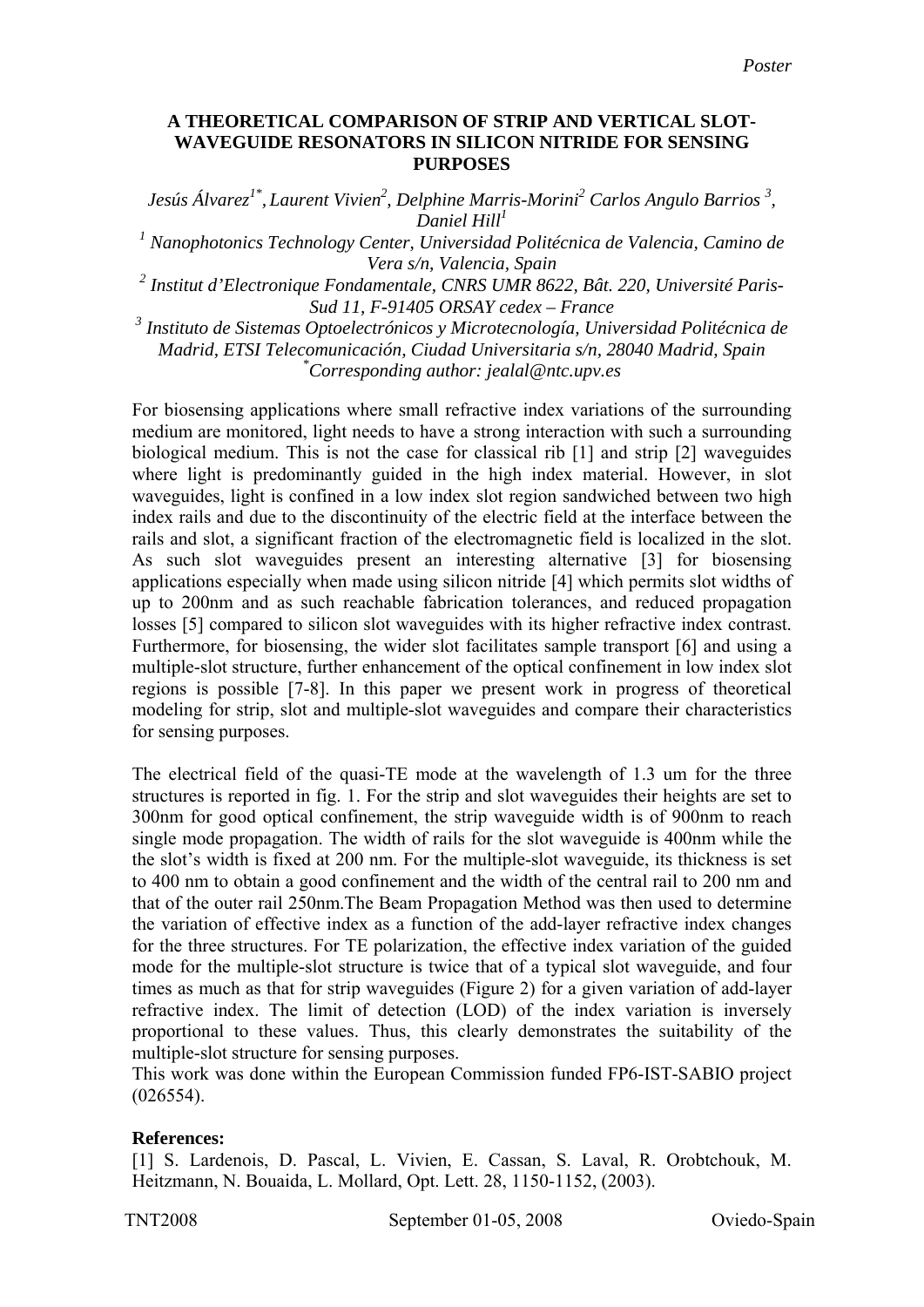## **A THEORETICAL COMPARISON OF STRIP AND VERTICAL SLOT-WAVEGUIDE RESONATORS IN SILICON NITRIDE FOR SENSING PURPOSES**

*Jesús Álvarez<sup>1\*</sup>, Laurent Vivien<sup>2</sup>, Delphine Marris-Morini<sup>2</sup> Carlos Angulo Barrios<sup>3</sup>, Daniel Hill1*

*1 Nanophotonics Technology Center, Universidad Politécnica de Valencia, Camino de Vera s/n, Valencia, Spain* 

*2 Institut d'Electronique Fondamentale, CNRS UMR 8622, Bât. 220, Université Paris-Sud 11, F-91405 ORSAY cedex – France* 

*3 Instituto de Sistemas Optoelectrónicos y Microtecnología, Universidad Politécnica de Madrid, ETSI Telecomunicación, Ciudad Universitaria s/n, 28040 Madrid, Spain \* Corresponding author: jealal@ntc.upv.es* 

For biosensing applications where small refractive index variations of the surrounding medium are monitored, light needs to have a strong interaction with such a surrounding biological medium. This is not the case for classical rib [1] and strip [2] waveguides where light is predominantly guided in the high index material. However, in slot waveguides, light is confined in a low index slot region sandwiched between two high index rails and due to the discontinuity of the electric field at the interface between the rails and slot, a significant fraction of the electromagnetic field is localized in the slot. As such slot waveguides present an interesting alternative [3] for biosensing applications especially when made using silicon nitride [4] which permits slot widths of up to 200nm and as such reachable fabrication tolerances, and reduced propagation losses [5] compared to silicon slot waveguides with its higher refractive index contrast. Furthermore, for biosensing, the wider slot facilitates sample transport [6] and using a multiple-slot structure, further enhancement of the optical confinement in low index slot regions is possible [7-8]. In this paper we present work in progress of theoretical modeling for strip, slot and multiple-slot waveguides and compare their characteristics for sensing purposes.

The electrical field of the quasi-TE mode at the wavelength of 1.3 um for the three structures is reported in fig. 1. For the strip and slot waveguides their heights are set to 300nm for good optical confinement, the strip waveguide width is of 900nm to reach single mode propagation. The width of rails for the slot waveguide is 400nm while the the slot's width is fixed at 200 nm. For the multiple-slot waveguide, its thickness is set to 400 nm to obtain a good confinement and the width of the central rail to 200 nm and that of the outer rail 250nm.The Beam Propagation Method was then used to determine the variation of effective index as a function of the add-layer refractive index changes for the three structures. For TE polarization, the effective index variation of the guided mode for the multiple-slot structure is twice that of a typical slot waveguide, and four times as much as that for strip waveguides (Figure 2) for a given variation of add-layer refractive index. The limit of detection (LOD) of the index variation is inversely proportional to these values. Thus, this clearly demonstrates the suitability of the multiple-slot structure for sensing purposes.

This work was done within the European Commission funded FP6-IST-SABIO project (026554).

## **References:**

[1] S. Lardenois, D. Pascal, L. Vivien, E. Cassan, S. Laval, R. Orobtchouk, M. Heitzmann, N. Bouaida, L. Mollard, Opt. Lett. 28, 1150-1152, (2003).